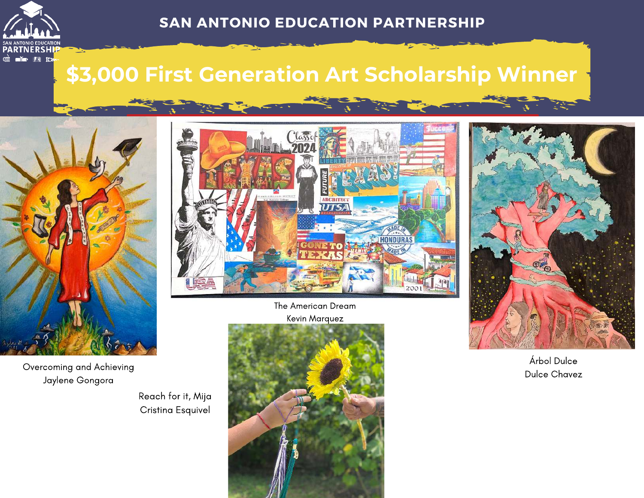

#### **SAN ANTONIO EDUCATION PARTNERSHIP**

## **\$3,000 First Generation Art Scholarship Winner**



Overcoming and Achieving Jaylene Gongora

Reach for it, Mija Cristina Esquivel



The American Dream Kevin Marquez





Árbol Dulce Dulce Chavez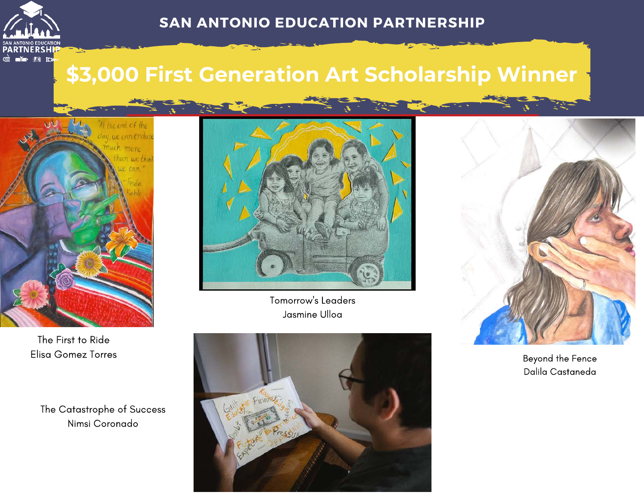

## **\$3,000 First Generation Art Scholarship Winner**



The First to Ride Elisa Gomez Torres

The Catastrophe of Success Nimsi Coronado



Tomorrow's Leaders Jasmine Ulloa





Beyond the Fence Dalila Castaneda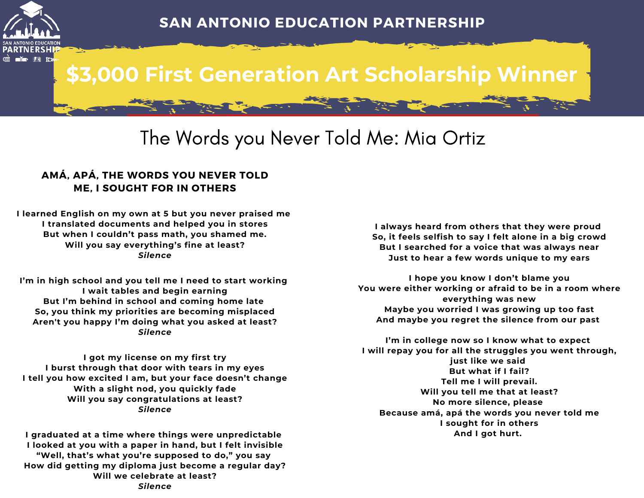

# **\$3,000 First Generation Art Scholarship Winner**

## The Words you Never Told Me: Mia Ortiz

#### **AMÁ, APÁ, THE WORDS YOU NEVER TOLD ME, I SOUGHT FOR IN OTHERS**

**I learned English on my own at 5 but you never praised me I translated documents and helped you in stores But when I couldn't pass math, you shamed me. Will you say everything's fine at least?** *Silence*

**I'm in high school and you tell me I need to start working I wait tables and begin earning But I'm behind in school and coming home late So, you think my priorities are becoming misplaced Aren't you happy I'm doing what you asked at least?** *Silence*

**I got my license on my first try I burst through that door with tears in my eyes I tell you how excited I am, but your face doesn't change With a slight nod, you quickly fade Will you say congratulations at least?** *Silence*

**I graduated at a time where things were unpredictable I looked at you with a paper in hand, but I felt invisible "Well, that's what you're supposed to do," you say How did getting my diploma just become a regular day? Will we celebrate at least?** *Silence*

**I always heard from others that they were proud So, it feels selfish to say I felt alone in a big crowd But I searched for a voice that was always near Just to hear a few words unique to my ears**

**I hope you know I don't blame you You were either working or afraid to be in a room where everything was new Maybe you worried I was growing up too fast And maybe you regret the silence from our past** 

**I'm in college now so I know what to expect I will repay you for all the struggles you went through, just like we said But what if I fail? Tell me I will prevail. Will you tell me that at least? No more silence, please Because amá, apá the words you never told me I sought for in others And I got hurt.**